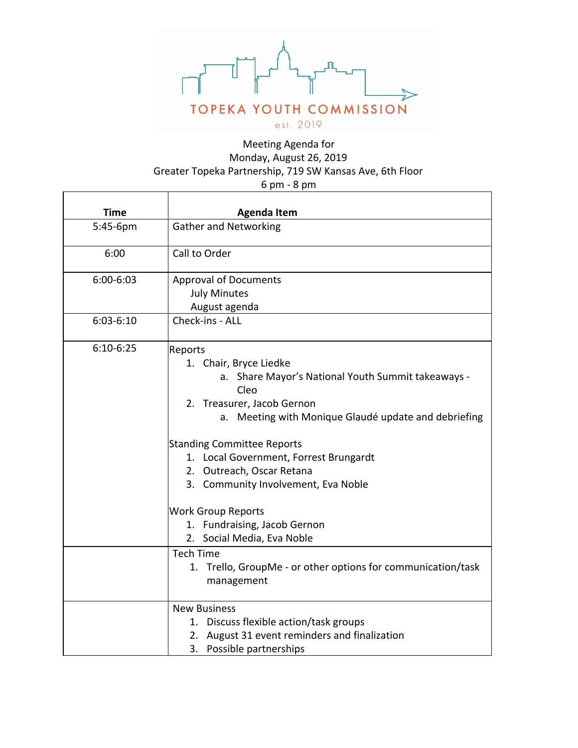

## Meeting Agenda for Monday, August 26, 2019 Greater Topeka Partnership, 719 SW Kansas Ave, 6th Floor 6 pm - 8 pm

| <b>Time</b>   | <b>Agenda Item</b>                                              |
|---------------|-----------------------------------------------------------------|
| 5:45-6pm      | <b>Gather and Networking</b>                                    |
| 6:00          | Call to Order                                                   |
| $6:00 - 6:03$ | <b>Approval of Documents</b>                                    |
|               | <b>July Minutes</b>                                             |
|               | August agenda                                                   |
| $6:03-6:10$   | Check-ins - ALL                                                 |
| $6:10-6:25$   | Reports                                                         |
|               | 1. Chair, Bryce Liedke                                          |
|               | a. Share Mayor's National Youth Summit takeaways -              |
|               | Cleo                                                            |
|               | 2. Treasurer, Jacob Gernon                                      |
|               | Meeting with Monique Glaudé update and debriefing<br>a.         |
|               | <b>Standing Committee Reports</b>                               |
|               | 1. Local Government, Forrest Brungardt                          |
|               | 2. Outreach, Oscar Retana                                       |
|               | 3. Community Involvement, Eva Noble                             |
|               | <b>Work Group Reports</b>                                       |
|               | 1. Fundraising, Jacob Gernon                                    |
|               | 2. Social Media, Eva Noble                                      |
|               | <b>Tech Time</b>                                                |
|               | Trello, GroupMe - or other options for communication/task<br>1. |
|               | management                                                      |
|               | <b>New Business</b>                                             |
|               | 1. Discuss flexible action/task groups                          |
|               | 2. August 31 event reminders and finalization                   |
|               | 3. Possible partnerships                                        |